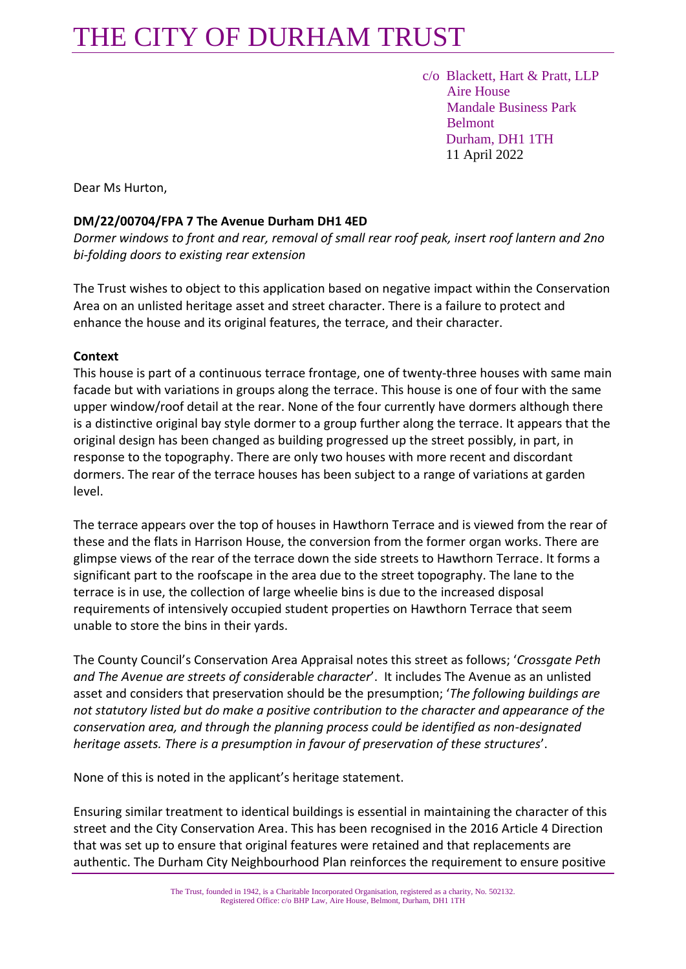## THE CITY OF DURHAM TRUST

 c/o Blackett, Hart & Pratt, LLP Aire House Mandale Business Park Belmont Durham, DH1 1TH 11 April 2022

Dear Ms Hurton,

#### **DM/22/00704/FPA 7 The Avenue Durham DH1 4ED**

*Dormer windows to front and rear, removal of small rear roof peak, insert roof lantern and 2no bi-folding doors to existing rear extension*

The Trust wishes to object to this application based on negative impact within the Conservation Area on an unlisted heritage asset and street character. There is a failure to protect and enhance the house and its original features, the terrace, and their character.

#### **Context**

This house is part of a continuous terrace frontage, one of twenty-three houses with same main facade but with variations in groups along the terrace. This house is one of four with the same upper window/roof detail at the rear. None of the four currently have dormers although there is a distinctive original bay style dormer to a group further along the terrace. It appears that the original design has been changed as building progressed up the street possibly, in part, in response to the topography. There are only two houses with more recent and discordant dormers. The rear of the terrace houses has been subject to a range of variations at garden level.

The terrace appears over the top of houses in Hawthorn Terrace and is viewed from the rear of these and the flats in Harrison House, the conversion from the former organ works. There are glimpse views of the rear of the terrace down the side streets to Hawthorn Terrace. It forms a significant part to the roofscape in the area due to the street topography. The lane to the terrace is in use, the collection of large wheelie bins is due to the increased disposal requirements of intensively occupied student properties on Hawthorn Terrace that seem unable to store the bins in their yards.

The County Council's Conservation Area Appraisal notes this street as follows; '*Crossgate Peth and The Avenue are streets of conside*rab*le character*'. It includes The Avenue as an unlisted asset and considers that preservation should be the presumption; '*The following buildings are not statutory listed but do make a positive contribution to the character and appearance of the conservation area, and through the planning process could be identified as non-designated heritage assets. There is a presumption in favour of preservation of these structures*'.

None of this is noted in the applicant's heritage statement.

Ensuring similar treatment to identical buildings is essential in maintaining the character of this street and the City Conservation Area. This has been recognised in the 2016 Article 4 Direction that was set up to ensure that original features were retained and that replacements are authentic. The Durham City Neighbourhood Plan reinforces the requirement to ensure positive

> The Trust, founded in 1942, is a Charitable Incorporated Organisation, registered as a charity, No. 502132. Registered Office: c/o BHP Law, Aire House, Belmont, Durham, DH1 1TH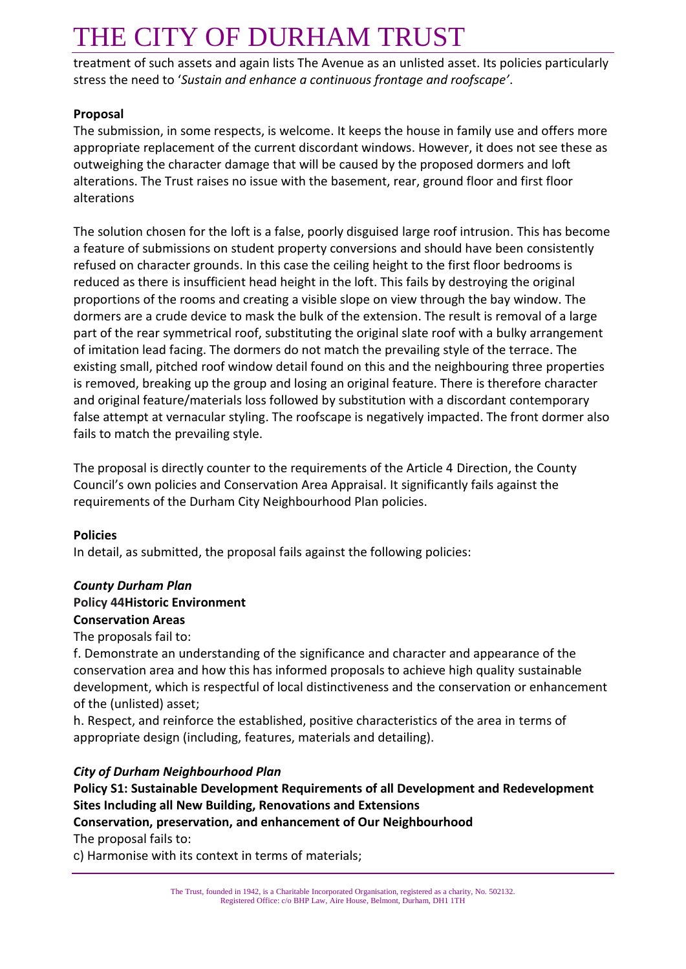# THE CITY OF DURHAM TRUST

treatment of such assets and again lists The Avenue as an unlisted asset. Its policies particularly stress the need to '*Sustain and enhance a continuous frontage and roofscape'*.

### **Proposal**

The submission, in some respects, is welcome. It keeps the house in family use and offers more appropriate replacement of the current discordant windows. However, it does not see these as outweighing the character damage that will be caused by the proposed dormers and loft alterations. The Trust raises no issue with the basement, rear, ground floor and first floor alterations

The solution chosen for the loft is a false, poorly disguised large roof intrusion. This has become a feature of submissions on student property conversions and should have been consistently refused on character grounds. In this case the ceiling height to the first floor bedrooms is reduced as there is insufficient head height in the loft. This fails by destroying the original proportions of the rooms and creating a visible slope on view through the bay window. The dormers are a crude device to mask the bulk of the extension. The result is removal of a large part of the rear symmetrical roof, substituting the original slate roof with a bulky arrangement of imitation lead facing. The dormers do not match the prevailing style of the terrace. The existing small, pitched roof window detail found on this and the neighbouring three properties is removed, breaking up the group and losing an original feature. There is therefore character and original feature/materials loss followed by substitution with a discordant contemporary false attempt at vernacular styling. The roofscape is negatively impacted. The front dormer also fails to match the prevailing style.

The proposal is directly counter to the requirements of the Article 4 Direction, the County Council's own policies and Conservation Area Appraisal. It significantly fails against the requirements of the Durham City Neighbourhood Plan policies.

### **Policies**

In detail, as submitted, the proposal fails against the following policies:

## *County Durham Plan* **Policy 44Historic Environment Conservation Areas**

The proposals fail to:

f. Demonstrate an understanding of the significance and character and appearance of the conservation area and how this has informed proposals to achieve high quality sustainable development, which is respectful of local distinctiveness and the conservation or enhancement of the (unlisted) asset;

h. Respect, and reinforce the established, positive characteristics of the area in terms of appropriate design (including, features, materials and detailing).

## *City of Durham Neighbourhood Plan*

## **Policy S1: Sustainable Development Requirements of all Development and Redevelopment Sites Including all New Building, Renovations and Extensions**

### **Conservation, preservation, and enhancement of Our Neighbourhood**

The proposal fails to:

c) Harmonise with its context in terms of materials;